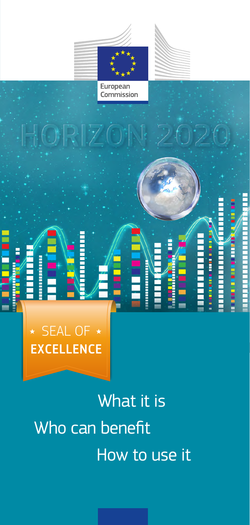



European Commission

# SEAL OF \* **EXCELLENCE**

What it is Who can benefit How to use it

E Ī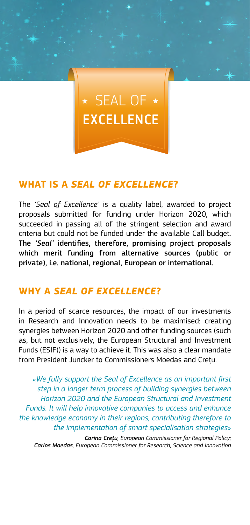## $\star$  SEAL OF  $\star$ **EXCELLENCE**

#### **WHAT IS A** *SEAL OF EXCELLENCE***?**

The *'Seal of Excellence'* is a quality label, awarded to project proposals submitted for funding under Horizon 2020, which succeeded in passing all of the stringent selection and award criteria but could not be funded under the available Call budget. The *'Seal'* identifies, therefore, promising project proposals which merit funding from alternative sources (public or private), i.e. national, regional, European or international.

#### **WHY A** *SEAL OF EXCELLENCE***?**

In a period of scarce resources, the impact of our investments in Research and Innovation needs to be maximised: creating synergies between Horizon 2020 and other funding sources (such as, but not exclusively, the European Structural and Investment Funds (ESIF)) is a way to achieve it. This was also a clear mandate from President Juncker to Commissioners Moedas and Creţu.

*«We fully support the Seal of Excellence as an important first step in a longer term process of building synergies between Horizon 2020 and the European Structural and Investment Funds. It will help innovative companies to access and enhance the knowledge economy in their regions, contributing therefore to the implementation of smart specialisation strategies»* 

*Corina Creţu, European Commissioner for Regional Policy; Carlos Moedas, European Commissioner for Research, Science and Innovation*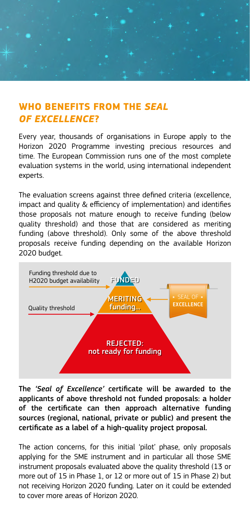

#### **WHO BENEFITS FROM THE** *SEAL OF EXCELLENCE***?**

Every year, thousands of organisations in Europe apply to the Horizon 2020 Programme investing precious resources and time. The European Commission runs one of the most complete evaluation systems in the world, using international independent experts.

The evaluation screens against three defined criteria (excellence, impact and quality & efficiency of implementation) and identifies those proposals not mature enough to receive funding (below quality threshold) and those that are considered as meriting funding (above threshold). Only some of the above threshold proposals receive funding depending on the available Horizon 2020 budget.



The *'Seal of Excellence'* certificate will be awarded to the applicants of above threshold not funded proposals: a holder of the certificate can then approach alternative funding sources (regional, national, private or public) and present the certificate as a label of a high-quality project proposal.

The action concerns, for this initial 'pilot' phase, only proposals applying for the SME instrument and in particular all those SME instrument proposals evaluated above the quality threshold (13 or more out of 15 in Phase 1, or 12 or more out of 15 in Phase 2) but not receiving Horizon 2020 funding. Later on it could be extended to cover more areas of Horizon 2020.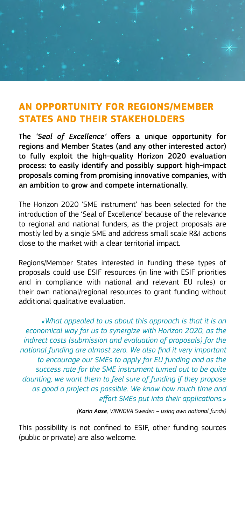#### **AN OPPORTUNITY FOR REGIONS/MEMBER STATES AND THEIR STAKEHOLDERS**

The *'Seal of Excellence'* offers a unique opportunity for regions and Member States (and any other interested actor) to fully exploit the high-quality Horizon 2020 evaluation process: to easily identify and possibly support high-impact proposals coming from promising innovative companies, with an ambition to grow and compete internationally.

The Horizon 2020 'SME instrument' has been selected for the introduction of the 'Seal of Excellence' because of the relevance to regional and national funders, as the project proposals are mostly led by a single SME and address small scale R&I actions close to the market with a clear territorial impact.

Regions/Member States interested in funding these types of proposals could use ESIF resources (in line with ESIF priorities and in compliance with national and relevant EU rules) or their own national/regional resources to grant funding without additional qualitative evaluation.

*«What appealed to us about this approach is that it is an economical way for us to synergize with Horizon 2020, as the indirect costs (submission and evaluation of proposals) for the national funding are almost zero. We also find it very important to encourage our SMEs to apply for EU funding and as the success rate for the SME instrument turned out to be quite daunting, we want them to feel sure of funding if they propose as good a project as possible. We know how much time and effort SMEs put into their applications.»* 

*(Karin Aase, VINNOVA Sweden – using own national funds)*

This possibility is not confined to ESIF, other funding sources (public or private) are also welcome.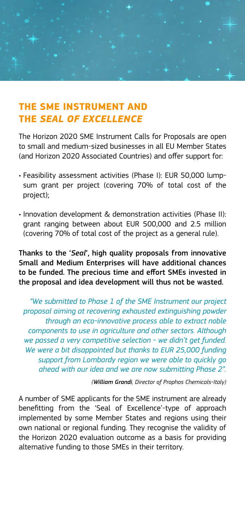### **THE SME INSTRUMENT AND THE** *SEAL OF EXCELLENCE*

The Horizon 2020 SME Instrument Calls for Proposals are open to small and medium-sized businesses in all EU Member States (and Horizon 2020 Associated Countries) and offer support for:

- Feasibility assessment activities (Phase I): EUR 50,000 lumpsum grant per project (covering 70% of total cost of the project);
- Innovation development & demonstration activities (Phase II): grant ranging between about EUR 500,000 and 2.5 million (covering 70% of total cost of the project as a general rule).

Thanks to the '*Seal*', high quality proposals from innovative Small and Medium Enterprises will have additional chances to be funded. The precious time and effort SMEs invested in the proposal and idea development will thus not be wasted.

*"We submitted to Phase 1 of the SME Instrument our project proposal aiming at recovering exhausted extinguishing powder through an eco-innovative process able to extract noble components to use in agriculture and other sectors. Although we passed a very competitive selection - we didn't get funded. We were a bit disappointed but thanks to EUR 25,000 funding support from Lombardy region we were able to quickly go ahead with our idea and we are now submitting Phase 2".* 

*(William Grandi, Director of Prophos Chemicals-Italy)*

A number of SME applicants for the SME instrument are already benefitting from the 'Seal of Excellence'-type of approach implemented by some Member States and regions using their own national or regional funding. They recognise the validity of the Horizon 2020 evaluation outcome as a basis for providing alternative funding to those SMEs in their territory.